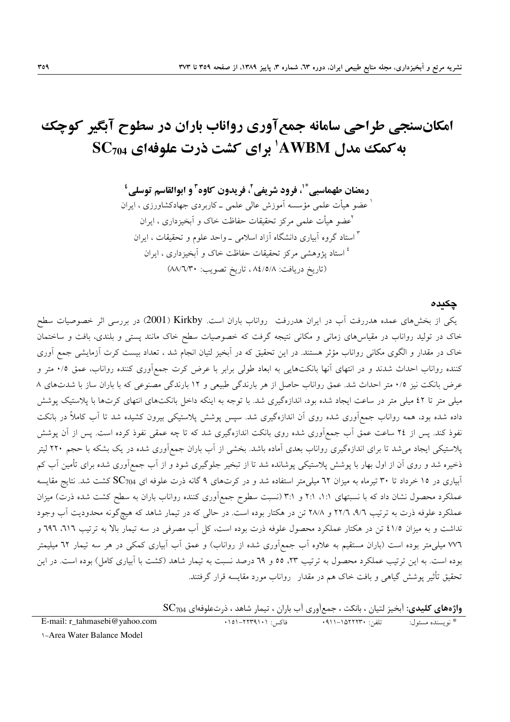# امکانسنجی طراحی سامانه جمع آوری رواناب باران در سطوح آبگیر کوچک به کمک مدل AWBM' برای کشت ذرت علوفهای SC704

رمضان طهماسبي ٌ ْ، فرود شريفي ْ، فريدون كاوه ّ و ابوالقاسم توسلي ْ <sup>ا</sup> عضو هیأت علمی مؤسسه اَموزش عالی علمی ـ کاربردی جهادکشاورزی ، ایران <sup>ا</sup>عضو هیأت علمی مرکز تحقیقات حفاظت خاک و اَبخیزداری ، ایران <sup>۳</sup> استاد گروه آبیاری دانشگاه آزاد اسلامی ــ واحد علوم و تحقیقات ، ایران <sup>؛</sup> استاد پژوهشی مرکز تحقیقات حفاظت خاک و آبخیزداری ، ایران (تاريخ دريافت: ٨٤/٥/٨، تاريخ تصويب: ٨٨/٦/٣٠)

### چکیدہ

یکی از بخشهای عمده هدررفت اَب در ایران هدررفت رواناب باران است. Kirkby (2001) در بررسی اثر خصوصیات سطح خاک در تولید رواناب در مقیاسهای زمانی و مکانی نتیجه گرفت که خصوصیات سطح خاک مانند پستی و بلندی، بافت و ساختمان خاک در مقدار و الگوی مکانی رواناب مؤثر هستند. در این تحقیق که در آبخیز لتیان انجام شد ، تعداد بیست کرت آزمایشی جمع آوری کننده رواناب احداث شدند و در انتهای آنها بانکتهایی به ابعاد طولی برابر با عرض کرت جمعآوری کننده رواناب، عمق ۰/۵ متر و عرض بانکت نیز ۰/۵ متر احداث شد. عمق رواناب حاصل از هر بارندگی طبیعی و ۱۲ بارندگی مصنوعی که با باران ساز با شدتهای ۸ میلی متر تا ٤٢ میلی متر در ساعت ایجاد شده بود، اندازهگیری شد. با توجه به اینکه داخل بانکتهای انتهای کرتها با پلاستیک پوشش داده شده بود، همه رواناب جمعآوری شده روی آن اندازهگیری شد. سپس پوشش پلاستیکی بیرون کشیده شد تا آب کاملاً در بانکت نفوذ کند. پس از ۲٤ ساعت عمق آب جمع|وری شده روی بانکت اندازهگیری شد که تا چه عمقی نفوذ کرده است. پس از آن پوشش پلاستیکی ایجاد میشد تا برای اندازهگیری رواناب بعدی اَماده باشد. بخشی از اَب باران جمعاَوری شده در یک بشکه با حجم ۲۲۰ لیتر ذخیره شد و روی آن از اول بهار با پوشش پلاستیکی پوشانده شد تا از تبخیر جلوگیری شود و از آب جمع آوری شده برای تأمین آب کم آبیاری در ۱۵ خرداد تا ۳۰ تیرماه به میزان ٦٢ میلی متر استفاده شد و در کرتهای ۹ گانه ذرت علوفه ای  $\rm{SC}_{704}$  کشت شد. نتایج مقایسه عملکرد محصول نشان داد که با نسبتهای ۱:۱، ۲:۱ و ۳:۱ (نسبت سطوح جمع آوری کننده رواناب باران به سطح کشت شده ذرت) میزان عملکرد علوفه ذرت به ترتیب ۹/٦، ٢٢/٦ و ٢٨/٨ تن در هکتار بوده است. در حالی که در تیمار شاهد که هیچگونه محدودیت آب وجود نداشت و به میزان ٤١/٥ تن در هکتار عملکرد محصول علوفه ذرت بوده است، کل آب مصرفی در سه تیمار بالا به ترتیب ٦١٦، ٦٩٦ و ٧٧٦ میلی متر بوده است (باران مستقیم به علاوه آب جمع|َوری شده از رواناب) و عمق اَب اَبیاری کمکی در هر سه تیمار ٦٢ میلیمتر بوده است. به این ترتیب عملکرد محصول به ترتیب ۲۳، ٥٥ و ٦٩ درصد نسبت به تیمار شاهد (کشت با آبیاری کامل) بوده است. در این تحقیق تأثیر یوشش گیاهی و بافت خاک هم در مقدار ِ رواناب مورد مقایسه قرار گرفتند.

 $SC_{704}$  واژههای کلیدی: آبخیز لتیان ، بانکت ، جمعآوری آب باران ، تیمار شاهد ، ذرتعلوفهای  $\Gamma$ 

| E-mail: r_tahmasebi@yahoo.com                                                                                                          | فاكس: ۰۱۵۱–۲۲۳۹۱۰۱ |  |
|----------------------------------------------------------------------------------------------------------------------------------------|--------------------|--|
| $\lambda$ $\lambda$ $\ldots$ $\mathbf{W}$ $\lambda$ $\ldots$ $\mathbf{D}$ $\lambda$ $\ldots$ $\lambda$ $\mathbf{A}$ $\ldots$ $\lambda$ |                    |  |

309

**1-Area Water Balance Model**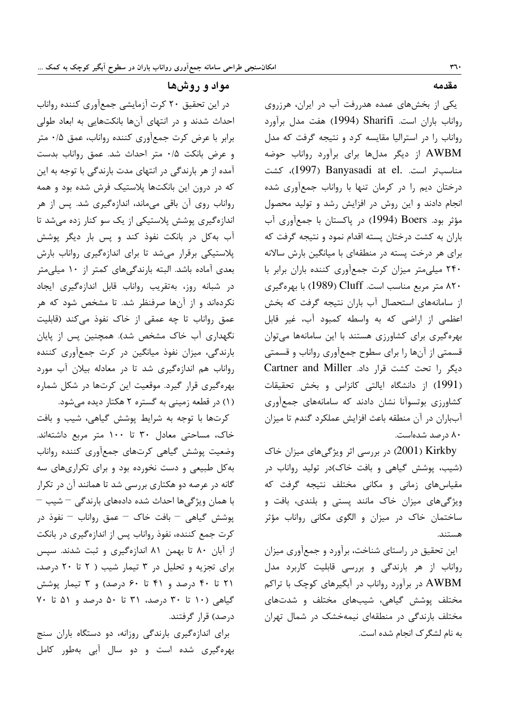مقدمه

یکی از بخشهای عمده هدررفت آب در ایران، هرزروی رواناب باران است. Sharifi (1994) هفت مدل برآورد رواناب را در استرالیا مقایسه کرد و نتیجه گرفت که مدل AWBM از دیگر مدلها برای برآورد رواناب حوضه مناسبتر است. .Banyasadi at el (1997)، كشت درختان دیم را در کرمان تنها با رواناب جمعآوری شده انجام دادند و این روش در افزایش رشد و تولید محصول مؤثر بود. Boers (1994) در پاکستان با جمعآوری آب باران به کشت درختان پسته اقدام نمود و نتیجه گرفت که برای هر درخت پسته در منطقهای با میانگین بارش سالانه ۲۴۰ میلی متر میزان کرت جمعآوری کننده باران برابر با ۸۲۰ متر مربع مناسب است. Cluff (1989) با بهرهگیری از سامانههای استحصال آب باران نتیجه گرفت که بخش اعظمی از اراضی که به واسطه کمبود آب، غیر قابل بهرهگیری برای کشاورزی هستند با این سامانهها میتوان قسمتی از آنها را برای سطوح جمعآوری رواناب و قسمتی دیگر را تحت کشت قرار داد. Cartner and Miller (1991) از دانشگاه ایالتی کانزاس و بخش تحقیقات کشاورزی بوتسوآنا نشان دادند که سامانههای جمعآوری آبباران در آن منطقه باعث افزایش عملکرد گندم تا میزان ۸۰ درصد شدهاست.

(2001) در بررسی اثر ویژگی های میزان خاک (شیب، پوشش گیاهی و بافت خاک)در تولید رواناب در مقیاسهای زمانی و مکانی مختلف نتیجه گرفت که ویژگیهای میزان خاک مانند پستی و بلندی، بافت و ساختمان خاک در میزان و الگوی مکانی رواناب مؤثر هستند.

این تحقیق در راستای شناخت، برآورد و جمعآوری میزان رواناب از هر بارندگی و بررسی قابلیت کاربرد مدل AWBM در برآورد رواناب در آبگیرهای کوچک با تراکم مختلف پوشش گیاهی، شیبهای مختلف و شدتهای مختلف بارندگی در منطقهای نیمهخشک در شمال تهران به نام لشگر ک انجام شده است.

مواد و روشها

در این تحقیق ۲۰ کرت آزمایشی جمعآوری کننده رواناب احداث شدند و در انتهای آنها بانکتهایی به ابعاد طولی برابر با عرض کرت جمعآوری کننده رواناب، عمق ۰/۵ متر و عرض بانكت ٠/٥ متر احداث شد. عمق رواناب بدست آمده از هر بارندگی در انتهای مدت بارندگی با توجه به این که در درون این بانکتها پلاستیک فرش شده بود و همه رواناب روی آن باقی میماند، اندازهگیری شد. پس از هر اندازهگیری پوشش پلاستیکی از یک سو کنار زده میشد تا آب به کل در بانکت نفوذ کند و پس بار دیگر پوشش پلاستیکی برقرار میشد تا برای اندازهگیری رواناب بارش بعدی آماده باشد. البته بارندگیهای کمتر از ۱۰ میلی متر در شبانه روز، بهتقریب رواناب قابل اندازهگیری ایجاد نکردهاند و از آنها صرفنظر شد. تا مشخص شود که هر عمق رواناب تا چه عمقی از خاک نفوذ می کند (قابلیت نگهداری آب خاک مشخص شد). همچنین پس از پایان بارندگی، میزان نفوذ میانگین در کرت جمعآوری کننده رواناب هم اندازهگیری شد تا در معادله بیلان آب مورد بهرهگیری قرار گیرد. موقعیت این کرتها در شکل شماره (۱) در قطعه زمینی به گستره ۲ هکتار دیده می شود.

كرتها با توجه به شرايط پوشش گياهي، شيب و بافت خاک، مساحتی معادل ۳۰ تا ۱۰۰ متر مربع داشتهاند. وضعيت پوشش گياهي كرتهاى جمعأورى كننده رواناب به کل طبیعی و دست نخورده بود و برای تکراریهای سه گانه در عرصه دو هکتاری بررسی شد تا همانند آن در تکرار با همان ویژگی ها احداث شده دادههای بارندگی – شیب – پوشش گیاهی – بافت خاک – عمق رواناب – نفوذ در کرت جمع کننده، نفوذ رواناب پس از اندازهگیری در بانکت از آبان ۸۰ تا بهمن ۸۱ اندازهگیری و ثبت شدند. سپس برای تجزیه و تحلیل در ۳ تیمار شیب ( ۲ تا ۲۰ درصد، ۲۱ تا ۴۰ درصد و ۴۱ تا ۶۰ درصد) و ۳ تیمار پوشش گیاهی (۱۰ تا ۳۰ درصد، ۳۱ تا ۵۰ درصد و ۵۱ تا ۷۰ درصد) قرار گرفتند.

برای اندازهگیری بارندگی روزانه، دو دستگاه باران سنج بهرهگیری شده است و دو سال آبی بهطور کامل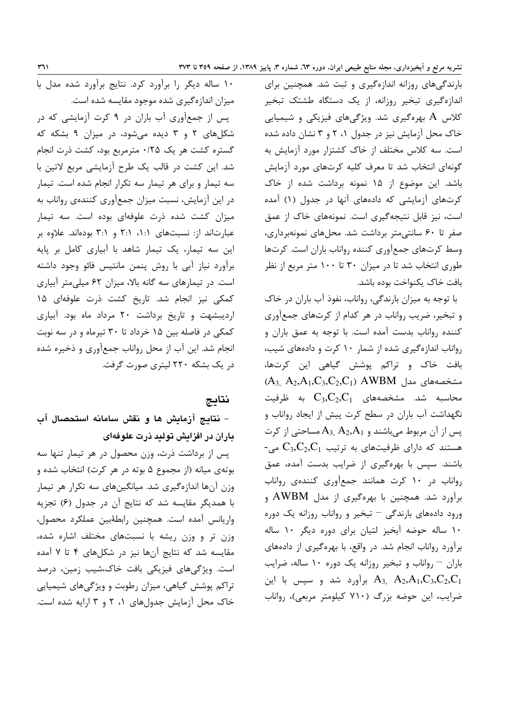بارندگیهای روزانه اندازهگیری و ثبت شد. همچنین برای اندازهگیری تبخیر روزانه، از یک دستگاه طشتک تبخیر کلاس A بهرهگیری شد. ویژگیهای فیزیکی و شیمیایی خاک محل آزمایش نیز در جدول ۰٫ ۲ و ۳ نشان داده شده است. سه کلاس مختلف از خاک کشتزار مورد آزمایش به گونهای انتخاب شد تا معرف کلیه کرتهای مورد آزمایش باشد. این موضوع از ۱۵ نمونه برداشت شده از خاک کرتهای آزمایشی که دادههای آنها در جدول (۱) آمده است، نیز قابل نتیجهگیری است. نمونههای خاک از عمق صفر تا ۶۰ سانتی متر برداشت شد. محل های نمونهبرداری، وسط کرتهای جمعآوری کننده رواناب باران است. کرتها طوری انتخاب شد تا در میزان ۳۰ تا ۱۰۰ متر مربع از نظر بافت خاک یکنواخت بوده باشد.

با توجه به میزان بارندگی، رواناب، نفوذ آب باران در خاک و تبخیر، ضریب رواناب در هر کدام از کرتهای جمعآوری کننده رواناب بدست آمده است. با توجه به عمق باران و رواناب اندازهگیری شده از شمار ۱۰ کرت و دادههای شیب، بافت خاک و تراکم پوشش گیاهی این کرتها،  $(A_3, A_2, A_1, C_3, C_2, C_1)$  AWBM مشخصههای مدل محاسبه شد. مشخصههای  $\mathrm{C}_3,\mathrm{C}_2,\mathrm{C}_1$  به ظرفیت نگهداشت آب باران در سطح کرت پیش از ایجاد رواناب و پس از آن مربوط میباشند و  $A_3, A_2, A_1$  مساحتی از کرت - هستند که دارای ظرفیتهای به ترتیب  $C_3, C_2, C_1$  می باشند. سپس با بهرهگیری از ضرایب بدست آمده، عمق رواناب در ١٠ كرت همانند جمعآورى كنندهى رواناب برآورد شد. همچنین با بهرهگیری از مدل AWBM و ورود دادههای بارندگی - تبخیر و رواناب روزانه یک دوره ١٠ ساله حوضه آبخيز لتيان براى دوره ديگر ١٠ ساله برآورد رواناب انجام شد. در واقع، با بهرهگیری از دادههای باران - رواناب و تبخير روزانه يک دوره ١٠ ساله، ضرايب برآورد شد و سپس با این  $A_3, A_2, A_1, C_3, C_2, C_1$ ضرایب، این حوضه بزرگ (۷۱۰ کیلومتر مربعی)، رواناب

١٠ ساله ديگر را برآورد كرد. نتايج برآورد شده مدل با میزان اندازهگیری شده موجود مقایسه شده است.

یس از جمعآوری آب باران در ۹ کرت آزمایشی که در شکلهای ۲ و ۳ دیده میشود، در میزان ۹ بشکه که گستره کشت هر یک ۲۵/۰ مترمربع بود، کشت ذرت انجام شد. این کشت در قالب یک طرح آزمایشی مربع لاتین با سه تیمار و برای هر تیمار سه تکرار انجام شده است. تیمار در این آزمایش، نسبت میزان جمعآوری کنندهی رواناب به میزان کشت شده ذرت علوفهای بوده است. سه تیمار عبارتاند از: نسبتهای ١:١، ٢:١ و ٣:١ بودهاند. علاوه بر این سه تیمار، یک تیمار شاهد با آبیاری کامل بر پایه برآورد نیاز آبی با روش پنمن مانتیس فائو وجود داشته است. در تیمارهای سه گانه بالا، میزان ۶۲ میلی متر آبیاری كمكي نيز انجام شد. تاريخ كشت ذرت علوفهاي ١۵ اردیبشهت و تاریخ برداشت ۲۰ مرداد ماه بود. آبیاری کمکی در فاصله بین ۱۵ خرداد تا ۳۰ تیرماه و در سه نوبت انجام شد. این آب از محل رواناب جمعآوری و ذخیره شده در یک بشکه ۲۲۰ لیتری صورت گرفت.

### نتاىج

– نتایج آزمایش ها و نقش سامانه استحصال آب باران در افزایش تولید ذرت علوفهای

پس از برداشت ذرت، وزن محصول در هر تیمار تنها سه بوتهی میانه (از مجموع ۵ بوته در هر کرت) انتخاب شده و وزن آنها اندازهگیری شد. میانگینهای سه تکرار هر تیمار با همدیگر مقایسه شد که نتایج آن در جدول (۶) تجزیه واريانس آمده است. همچنين رابطةبين عملكرد محصول، وزن تر و وزن ریشه با نسبتهای مختلف اشاره شده، مقایسه شد که نتایج آنها نیز در شکلهای ۴ تا ۷ آمده است. ویژگی های فیزیکی بافت خاک،شیب زمین، درصد تراکم پوشش گیاهی، میزان رطوبت و ویژگیهای شیمیایی خاک محل آزمایش جدول های ۱، ۲ و ۳ ارایه شده است.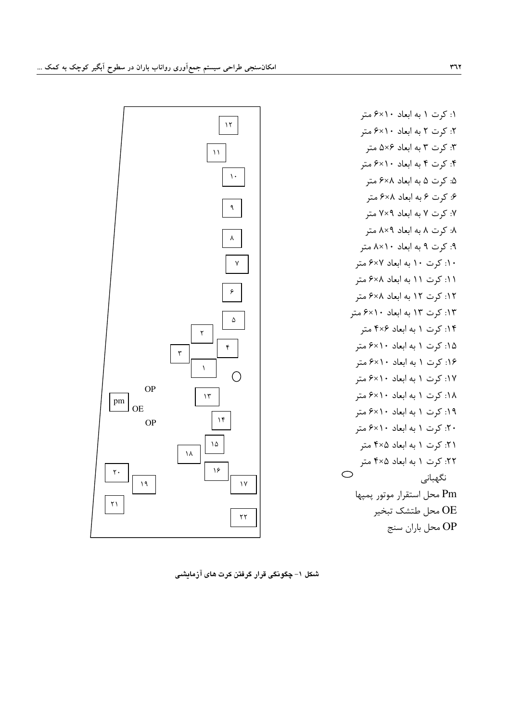

شکل ۱– چگونگی قرار گرفتن کرت های آزمایشی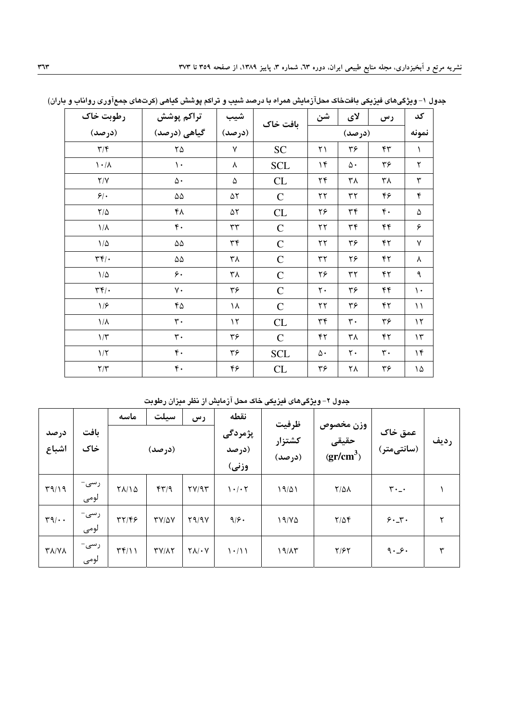| رطوبت خاک                          | تراكم پوشش          | شيب            | بافت خاک    | شن                      | لای                     | رس               | کد             |
|------------------------------------|---------------------|----------------|-------------|-------------------------|-------------------------|------------------|----------------|
| (درصد)                             | گیاهی (درصد)        | (درصد)         |             | (درصد)                  |                         |                  | نمونه          |
| $\mathbf{Y}/\mathbf{Y}$            | $\mathbf{Y} \Delta$ | $\sf V$        | <b>SC</b>   | ٢١                      | ٣۶                      | $\mathfrak{r}$   | $\lambda$      |
| $\lambda \cdot / \lambda$          | $\backslash$ .      | ٨              | <b>SCL</b>  | $\mathcal{N}$           | $\Delta \cdot$          | ٣۶               | ٢              |
| $\mathsf{Y}/\mathsf{Y}$            | $\Delta$ .          | ۵              | CL          | $\mathbf{Y} \mathbf{F}$ | ٣٨                      | ٣٨               | ٣              |
| $5$ .                              | $\Delta\Delta$      | ۵۲             | $\mathbf C$ | $\mathbf{r}$            | $\mathbf{r}$            | ۴۶               | ۴              |
| $\mathbf{Y}/\Delta$                | ۴۸                  | ۵٢             | CL          | ۲۶                      | ٣۴                      | $\mathfrak{r}$ . | ۵              |
| $\backslash/\Lambda$               | $\mathfrak{r}$ .    | $\tau\tau$     | ${\bf C}$   | $\mathbf{y}$            | ٣۴                      | ۴۴               | ۶              |
| $1/\Delta$                         | $\Delta\Delta$      | $\mathbf{r}$ ۴ | $\mathsf C$ | $\mathbf{y}$            | ٣۶                      | ۴٢               | ٧              |
| $\mathbf{r}$                       | $\Delta\Delta$      | ٣٨             | $\mathsf C$ | $\tau\tau$              | ۲۶                      | ۴٢               | λ              |
| $1/\Delta$                         | ۶.                  | ۳۸             | $\mathbf C$ | ۲۶                      | ٣٢                      | ۴٢               | ٩              |
| $\mathbf{r} \mathbf{r}/\mathbf{r}$ | ٧٠                  | ٣۶             | $\mathbf C$ | $\mathbf{\mathsf{y}}$ . | ٣۶                      | ۴۴               | $\backslash$ . |
| 1/5                                | ۴۵                  | ۱۸             | $\mathbf C$ | $\mathbf{y}$            | ٣۶                      | ۴٢               | $\setminus$    |
| $1/\lambda$                        | $\mathbf{r}$ .      | $\mathcal{N}$  | CL          | $\mathbf{r}$ ۴          | $\mathbf{r}$ .          | ٣۶               | $\mathcal{N}$  |
| $1/\tau$                           | $\mathbf{r}$ .      | ٣۶             | $\mathbf C$ | ۴٢                      | ٣٨                      | ۴٢               | $\mathcal{N}$  |
| $1/\Upsilon$                       | $\mathfrak{r}$ .    | ٣۶             | <b>SCL</b>  | ۵۰                      | $\mathbf{\mathsf{y}}$ . | $\mathbf{r}$ .   | $\mathcal{M}$  |
| $\mathbf{Y}/\mathbf{Y}$            | $\mathfrak{r}$ .    | ۴۶             | CL          | ٣۶                      | ٢٨                      | ٣۶               | ١۵ $\hbox{ }$  |

جدول ۱– ویژگیهای فیزیکی بافتخاک محلآزمایش همراه با درصد شیب و تراکم پوشش گیاهی (کرتهای جمعآوری رواناب و باران)

جدول ۲– ویژگیهای فیزیکی خاک محل آزمایش از نظر میزان رطوبت

|                                       |              | ماسه                     | سيلت              | رس                   | نقطه                                       | ظرفيت            |                                 |                               |      |
|---------------------------------------|--------------|--------------------------|-------------------|----------------------|--------------------------------------------|------------------|---------------------------------|-------------------------------|------|
| درصد<br>اشباع                         | بافت<br>خاک  |                          | (درصد)            |                      | پژمردگی<br>(درصد<br>وزني)                  | كشتزار<br>(درصد) | وزن مخصوص<br>حقیقی<br>$gr/cm^3$ | عمق خاک<br>(سانتیمتر)         | رديف |
| $\Gamma$ 9/19                         | رسى-<br>لومى | $Y\Lambda/\Lambda$       | $f\uparrow\gamma$ | YY/9Y                | $\mathcal{N} \cdot / \cdot \mathcal{N}$    | 19/01            | $Y/\Delta\Lambda$               | $\mathbf{r} \cdot \mathbf{r}$ |      |
| $\mathbf{r} \mathbf{q} / \cdot \cdot$ | رسى-<br>لومى | $\mathbf{y}(\mathbf{x})$ | $TY/\Delta V$     | Y9/9Y                | 9/9.                                       | 19/40            | $Y/\Delta f$                    | 9.1                           | ۲    |
| <b>TA/VA</b>                          | رسى-<br>لومى | $\Upsilon(\gamma)$       | $TY/\Lambda Y$    | $Y \wedge / \cdot V$ | $\backslash \cdot / \backslash \backslash$ | 19/17            | $Y/\mathcal{F}Y$                | 9.9.                          | ٣    |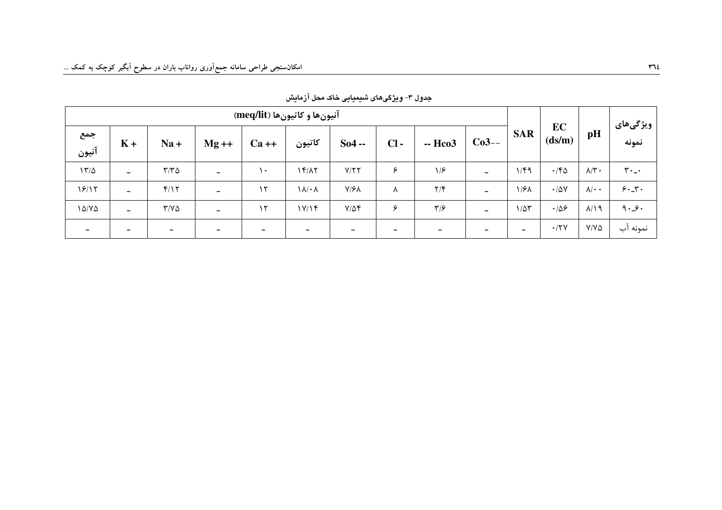| آنيون ها و كاتيون ها (meq/lit) |                          |                          |                          |          |                          |                          |        |                          |                          |                 |                   | ویژگیهای             |             |
|--------------------------------|--------------------------|--------------------------|--------------------------|----------|--------------------------|--------------------------|--------|--------------------------|--------------------------|-----------------|-------------------|----------------------|-------------|
| جمع<br>آنيون                   | $K +$                    | $Na +$                   | $Mg ++$                  | $Ca++$   | كاتيون                   | $So4 -$                  | $Cl -$ | -- Hco3                  | $Co3--$                  | <b>SAR</b>      | EC<br>(ds/m)      | pH                   | نمونه       |
| $17/\Delta$                    | $\overline{\phantom{0}}$ | $\tau/\tau$ ۵            | $\overline{\phantom{m}}$ | ۱۰.      | 15/17                    | Y/YY                     | ۶      | 1/5                      | $\overline{\phantom{0}}$ | 1/F9            | $\cdot$ /۴۵       | $\lambda/\Upsilon$ . | $r \cdot -$ |
| 19/17                          | $\overline{\phantom{0}}$ | f/Y                      | $\overline{\phantom{a}}$ | $\gamma$ | $\lambda/\cdot \lambda$  | $Y/\mathcal{F}$          | л      | $\mathsf{Y}/\mathsf{F}$  | -                        | ۱/۶۸            | $\cdot/\Delta V$  | $\lambda/\cdot$ .    | 9.5         |
| $1\Delta/Y\Delta$              | $\overline{\phantom{0}}$ | $Y/Y\Delta$              | $\overline{\phantom{0}}$ | ۱۲       | 1Y/15                    | $Y/\Delta f$             | ۶      | $\mathbf{y}/\mathbf{y}$  | -                        | $1/\Delta \tau$ | .109              | $\lambda/\lambda$ 9  | 9.9.        |
| $\overline{\phantom{0}}$       |                          | $\overline{\phantom{a}}$ | $\overline{\phantom{0}}$ | -        | $\overline{\phantom{a}}$ | $\overline{\phantom{m}}$ | -      | $\overline{\phantom{a}}$ | -                        | -               | $\cdot$ /۲ $\vee$ | $Y/Y\Delta$          | نمونه آب    |

جدول ۳- ویژگیهای شیمیایی خاک محل آزمایش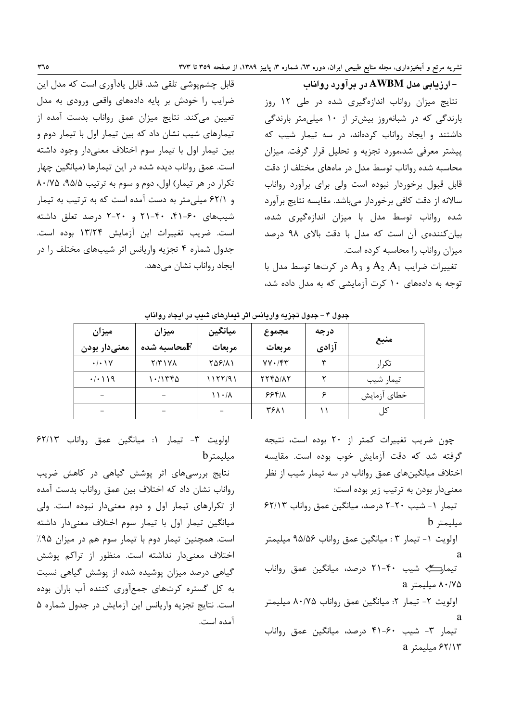ارزیابی مدل AWBM در برآورد رواناب $-$ نتایج میزان رواناب اندازهگیری شده در طی ۱۲ روز بارندگی که در شبانهروز بیشتر از ۱۰ میلی متر بارندگی داشتند و ایجاد رواناب کردهاند، در سه تیمار شیب که پیشتر معرفی شد،مورد تجزیه و تحلیل قرار گرفت. میزان محاسبه شده رواناب توسط مدل در ماههای مختلف از دقت قابل قبول برخوردار نبوده است ولی برای برآورد رواناب سالانه از دقت کافی برخوردار میباشد. مقایسه نتایج برآورد شده رواناب توسط مدل با میزان اندازهگیری شده، بیان کنندهی آن است که مدل با دقت بالای ۹۸ درصد میزان رواناب را محاسبه کرده است.

تغییرات ضرایب  $A_1$   $A_2$  و  $A_3$  در کرتها توسط مدل با توجه به دادههای ١٠ كرت آزمايشى كه به مدل داده شد،

قابل چشمپوشی تلقی شد. قابل یادآوری است که مدل این ضرایب را خودش بر پایه دادههای واقعی ورودی به مدل تعیین میکند. نتایج میزان عمق رواناب بدست آمده از تیمارهای شیب نشان داد که بین تیمار اول با تیمار دوم و بين تيمار اول با تيمار سوم اختلاف معنىدار وجود داشته است. عمق رواناب دیده شده در این تیمارها (میانگین چهار تکرار در هر تیمار) اول، دوم و سوم به ترتیب ۹۵/۵، ۸۰/۷۵ و ۶۲/۱ میلی متر به دست آمده است که به ترتیب به تیمار شیبهای ۶۰-۴۱. ۴۰-۲۱ و ۲۰-۲ درصد تعلق داشته است. ضريب تغييرات اين آزمايش ١٣/٢۴ بوده است. جدول شماره ۴ تجزیه واریانس اثر شیبهای مختلف را در ايجاد رواناب نشان مىدهد.

| ميزان<br>معنىدار بودن    | ميزان<br>محاسىه شده $\bf F$ | ميانگين<br>مربعات | مجموع<br>مربعات | درجه<br>آزادي | منبع        |
|--------------------------|-----------------------------|-------------------|-----------------|---------------|-------------|
| $\cdot/\cdot$ \ Y        | $Y/Y$ $Y$                   | 758111            | $YY.$ /۴۳       | ₩             | تكر ا,      |
| $\cdot/\cdot$ ) $\gamma$ | ۱۰/۱۳۴۵                     | ۱۱۲۲/۹۱           | 7742/17         | ↩             | تيمار شيب   |
|                          |                             | ۱۱۰/۸             | 558/1           |               | خطاى آزمايش |
|                          |                             |                   | ۳۶۸۱            |               | کل          |

جدول ۴ - جدول تجزیه واریانس اثر تیمارهای شبب در ایجاد رواناب

چون ضریب تغییرات کمتر از ۲۰ بوده است، نتیجه گرفته شد که دقت آزمایش خوب بوده است. مقایسه اختلاف میانگینهای عمق رواناب در سه تیمار شیب از نظر معنیدار بودن به ترتیب زیر بوده است: تیمار ١- شیب ٢٠-٢ درصد، میانگین عمق رواناب ۶۲/۱۳ b میلیمتر اولويت ١- تيمار ٣ : ميانگين عمق رواناب ٩۵/۵۶ ميليمتر a تیمارکے شیب ۴۰-۲۱ درصد، میانگین عمق رواناب ۸۰/۷۵ میلیمتر a اولويت ٢- تيمار ٢: ميانگين عمق رواناب ٨٠/٧۵ ميليمتر  $\mathbf{a}$ تیمار ۳- شیب ۶۰-۴۱ درصد، میانگین عمق رواناب ۶۲/۱۳ مىلىمتر a

اولويت ٣- تيمار ١: ميانكين عمق رواناب ٤٢/١٣ مىلىمت<sub>ا</sub> b

نتایج بررسی های اثر پوشش گیاهی در کاهش ضریب رواناب نشان داد که اختلاف بین عمق رواناب بدست آمده از تکرارهای تیمار اول و دوم معنیدار نبوده است. ولی میانگین تیمار اول با تیمار سوم اختلاف معنیدار داشته است. همچنین تیمار دوم با تیمار سوم هم در میزان ۹۵٪ اختلاف معنىدار نداشته است. منظور از تراكم پوشش گیاهی درصد میزان پوشیده شده از پوشش گیاهی نسبت به کل گستره کرتهای جمعآوری کننده آب باران بوده است. نتایج تجزیه واریانس این آزمایش در جدول شماره ۵ آمده است.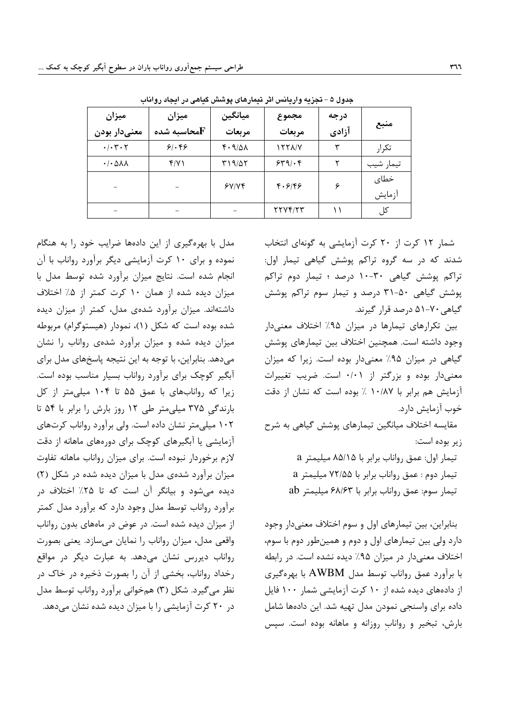| ميزان<br>معنىدار بودن                      | ميزان<br>محاسىه شده ${\bf F}$ | ميانگين<br>مربعات     | مجموع<br>مربعات | درجه<br>آزادي | منبع           |
|--------------------------------------------|-------------------------------|-----------------------|-----------------|---------------|----------------|
| $\cdot$ / $\cdot$ $\cdot$ $\cdot$ $\cdot$  | 81.88                         | $f \cdot \frac{9}{4}$ | 1771/Y          | ٣             | تكرار          |
| $\cdot$ / $\cdot$ $\Delta \lambda \lambda$ | f/Y                           | ۳۱۹/۵۲                | 549.68          | ٢             | تيمار شيب      |
|                                            |                               | 5Y/Y                  | 4.8199          | ۶             | خطاي<br>آزمايش |
|                                            |                               |                       | 7774/77         |               | کل             |

جدول ۵ – تجزیه واریانس اثر تیمارهای پوشش گیاهی در ایجاد رواناب

مدل با بهرهگیری از این دادهها ضرایب خود را به هنگام نموده و برای ١٠ كرت آزمايشي ديگر برآورد رواناب با آن انجام شده است. نتایج میزان برآورد شده توسط مدل با میزان دیده شده از همان ۱۰ کرت کمتر از ۵٪ اختلاف داشتهاند. میزان برآورد شدهی مدل، کمتر از میزان دیده شده بوده است که شکل (۱)، نمودار (هیستوگرام) مربوطه میزان دیده شده و میزان برآورد شدهی رواناب را نشان می دهد. بنابراین، با توجه به این نتیجه پاسخهای مدل برای آبگیر کوچک برای برآورد رواناب بسیار مناسب بوده است. زیرا که روانابهای با عمق ۵۵ تا ۱۰۴ میلی متر از کل بارندگی ۳۷۵ میلی متر طی ۱۲ روز بارش را برابر با ۵۴ تا ۱۰۲ میلی متر نشان داده است. ولی برآورد رواناب کرتهای آزمایشی یا آبگیرهای کوچک برای دورههای ماهانه از دقت لازم برخوردار نبوده است. برای میزان رواناب ماهانه تفاوت میزان برآورد شدهی مدل با میزان دیده شده در شکل (۲) دیده میشود و بیانگر آن است که تا ۲۵٪ اختلاف د, برآورد رواناب توسط مدل وجود دارد که برآورد مدل کمتر از میزان دیده شده است. در عوض در ماههای بدون رواناب واقعی مدل، میزان رواناب را نمایان میسازد. یعنی بصورت رواناب دیررس نشان میدهد. به عبارت دیگر در مواقع رخداد رواناب، بخشی از آن را بصورت ذخیره در خاک در نظر می گیرد. شکل (۳) همخوانی برآورد رواناب توسط مدل در ۲۰ کرت آزمایشی را با میزان دیده شده نشان میدهد.

شمار ١٢ كرت از ٢٠ كرت آزمايشي به گونهاي انتخاب شدند که در سه گروه تراکم پوشش گیاهی تیمار اول: تراکم یوشش گیاهی ۳۰-۱۰ درصد ؛ تیمار دوم تراکم پوشش گیاهی ۵۰-۳۱ درصد و تیمار سوم تراکم پوشش گیاهی ۷۰-۵۱ درصد قرار گیرند.

بین تکرارهای تیمارها در میزان ۹۵٪ اختلاف معنی دار وجود داشته است. همچنین اختلاف بین تیمارهای پوشش گیاهی در میزان ۹۵٪ معنیدار بوده است. زیرا که میزان معنیدار بوده و بزرگتر از ۰/۰۱ است. ضریب تغییرات آزمایش هم برابر با ۱۰/۸۷ ٪ بوده است که نشان از دقت خوب آزمایش دارد.

مقایسه اختلاف میانگین تیمارهای پوشش گیاهی به شرح زير بوده است:

> تیمار اول: عمق رواناب برابر با ۸۵/۱۵ میلیمتر a تیمار دوم: عمق رواناب برابر با ۷۲/۵۵ میلیمتر a تيمار سوم: عمق رواناب برابر با ۶۸/۶۳ ميليمتر ab

بنابراین، بین تیمارهای اول و سوم اختلاف معنیدار وجود دارد ولی بین تیمارهای اول و دوم و همینطور دوم با سوم، اختلاف معنیدار در میزان ۹۵٪ دیده نشده است. در رابطه با برآورد عمق رواناب توسط مدل AWBM با بهرهگیری از دادههای دیده شده از ۱۰ کرت آزمایشی شمار ۱۰۰ فایل داده برای واسنجی نمودن مدل تهیه شد. این دادهها شامل بارش، تبخیر و رواناب روزانه و ماهانه بوده است. سیس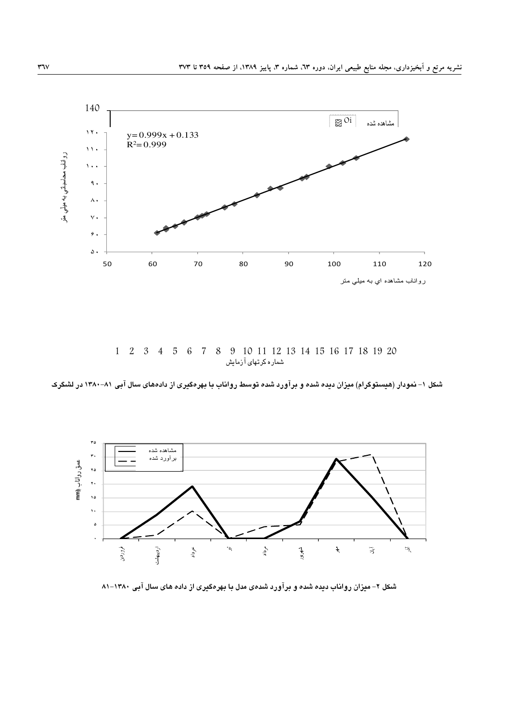

1 2 3 4 5 6 7 8 9 10 11 12 13 14 15 16 17 18 19 20 شماره کرتهای آزمایش

شکل ۱– نمودار (هیستوگرام) میزان دیده شده و برآورد شده توسط رواناب با بهرهگیری از دادههای سال آبی ۸۱–۱۳۸۰ در لشگرک



شکل ۲– میزان رواناب دیده شده و برآورد شدهی مدل با بهرهگیری از داده های سال آبی ۱۳۸۰–۸۱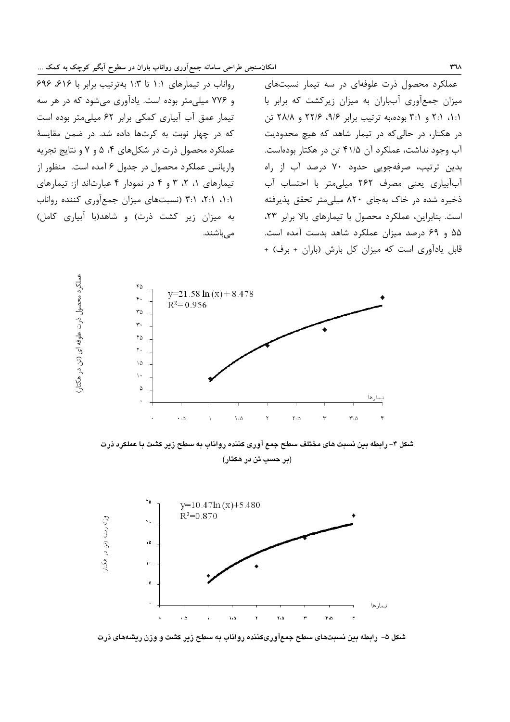رواناب در تیمارهای ١:١ تا ١:٣ بهترتیب برابر با ٤١۶، ٤٩۶ و ۷۷۶ میلی متر بوده است. یادآوری می شود که در هر سه تیمار عمق آب آبیاری کمکی برابر ۶۲ میلے متر بودہ است که در چهار نوبت به کرتها داده شد. در ضمن مقایسهٔ عملکرد محصول ذرت در شکلهای ۴، ۵ و ۷ و نتایج تجزیه واریانس عملکرد محصول در جدول ۶ آمده است. منظور از تیمارهای ۰، ۲، ۳ و ۴ در نمودار ۴ عبارتاند از: تیمارهای ۰۱:۱، ۲:۱، ۳:۱ (نسبتهای میزان جمعآوری کننده رواناب به میزان زیر کشت ذرت) و شاهد(با آبیاری کامل) مے باشند.

عملکرد محصول ذرت علوفهای در سه تیمار نسبتهای میزان جمعآوری آبباران به میزان زیرکشت که برابر با ۰۱:۱، ۲:۱ و ۳:۱ بوده،به ترتیب برابر ۹/۶، ۲۲/۶ و ۲۸/۸ تن در هکتار، در حالی که در تیمار شاهد که هیچ محدودیت آب وجود نداشت، عملکرد آن ۴۱/۵ تن در هکتار بودهاست. بدین ترتیب، صرفهجویی حدود ۷۰ درصد آب از راه آب آبیاری یعنی مصرف ۲۶۲ میلی متر با احتساب آب ذخیره شده در خاک بهجای ۸۲۰ میلی متر تحقق پذیرفته است. بنابراین، عملکرد محصول با تیمارهای بالا برابر ۲۳، ۵۵ و ۶۹ درصد میزان عملکرد شاهد بدست آمده است. قابل یادآوری است که میزان کل بارش (باران + برف) +



شکل ۴– رابطه بین نسبت های مختلف سطح جمع آوری کننده رواناب به سطح زیر کشت با عملکرد ذرت (بر حسب تن در هکتار)



شکل ۵– رابطه بین نسبتهای سطح جمعآوریکننده رواناب به سطح زیر کشت و وزن ریشههای ذرت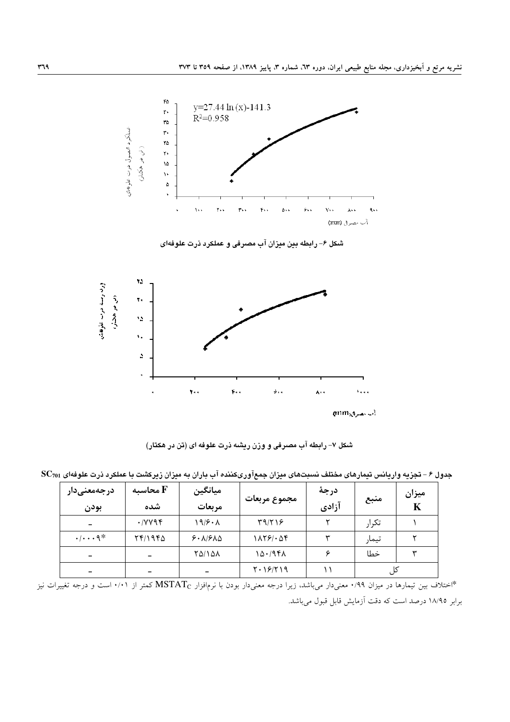

شکل ۶– رابطه بین میزان آب مصرفی و عملکرد ذرت علوفهای



شکل ۷– رابطه آب مصرفی و وزن ریشه ذرت علوفه ای (تن در هکتار)

 ${\bf SC}_{701}$  جدول ۶ – تجزیه واریانس تیمارهای مختلف نسبتهای میزان جمعآوریکننده آب باران به میزان زیرکشت با عملکرد ذرت علوفهای

| <b>درجەمعنىدار</b><br>بودن    | محاسىه ${\bf F}$<br>شده               | ميانگين<br>مربعات | مجموع مربعات     | درجة<br>آزادي | منبع  | ميزان<br>K |
|-------------------------------|---------------------------------------|-------------------|------------------|---------------|-------|------------|
|                               | $\cdot$ / $\vee$ $\vee$ $\vee$ $\vee$ | 19/5.1            | T9/T18           |               | تكرار |            |
| $\cdot/\cdots$ 9 <sup>*</sup> | $Yf/YQf\Delta$                        | 9.1910            | 1179/06          |               | تيمار |            |
| $\overline{\phantom{0}}$      |                                       | 70/101            | 1501941          |               | خطا   | ₩          |
|                               |                                       |                   | $Y \cdot 19/Y19$ |               |       |            |

برابر ١٨/٩٥ درصد است كه دقت آزمايش قابل قبول مى باشد.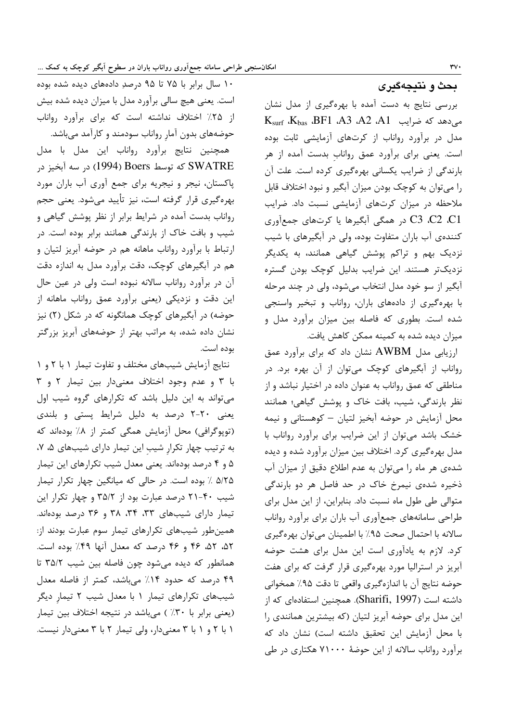# بحث و نتيجهگيري

بررسی نتایج به دست آمده با بهرهگیری از مدل نشان  $K_{\text{surf}}$   $K_{\text{bas}}$   $BFI$   $A3$   $A2$   $A1$  می $\sim$ ه مدل در برآورد رواناب از کرتهای آزمایشی ثابت بوده است. یعنی برای برآورد عمق رواناب بدست آمده از هر بارندگی از ضرایب یکسانی بهرهگیری کرده است. علت آن را میتوان به کوچک بودن میزان آبگیر و نبود اختلاف قابل ملاحظه در میزان کرتهای آزمایشی نسبت داد. ضرایب C3 .C2 .C1 در همگی آبگیرها یا کرتهای جمعآوری کنندهی آب باران متفاوت بوده، ولی در آبگیرهای با شیب نزدیک بهم و تراکم پوشش گیاهی همانند، به یکدیگر نزدیکتر هستند. این ضرایب بدلیل کوچک بودن گستره آبگير از سو خود مدل انتخاب مي شود، ولي در چند مرحله با بهرهگیری از دادههای باران، رواناب و تبخیر واسنجی شده است. بطوری که فاصله بین میزان برآورد مدل و میزان دیده شده به کمینه ممکن کاهش یافت.

ارزیابی مدل AWBM نشان داد که برای برآورد عمق رواناب از آبگیرهای کوچک میتوان از آن بهره برد. در مناطقی که عمق رواناب به عنوان داده در اختیار نباشد و از نظر بارندگی، شیب، بافت خاک و پوشش گیاهی؛ همانند محل آزمایش در حوضه آبخیز لتیان – کوهستانی و نیمه خشک باشد می توان از این ضرایب برای برآورد رواناب با مدل بهرهگیری کرد. اختلاف بین میزان برآورد شده و دیده شدهی هر ماه را می توان به عدم اطلاع دقیق از میزان آب ذخیره شدهی نیمرخ خاک در حد فاصل هر دو بارندگی متوالی طی طول ماه نسبت داد. بنابراین، از این مدل برای طراحی سامانههای جمعآوری آب باران برای برآورد رواناب سالانه با احتمال صحت ۹۵٪ با اطمینان می توان بهرهگیری كرد. لازم به يادآوري است اين مدل براي هشت حوضه آبریز در استرالیا مورد بهرهگیری قرار گرفت که برای هفت حوضه نتايج آن با اندازهگيري واقعي تا دقت ٩۵٪ همخواني داشته است (Sharifi, 1997). همچنین استفادهای که از این مدل برای حوضه آبریز لتیان (که بیشترین همانندی را با محل آزمایش این تحقیق داشته است) نشان داد که برآورد رواناب سالانه از این حوضهٔ ۷۱۰۰۰ هکتاری در طی

۱۰ سال برابر با ۷۵ تا ۹۵ درصدِ دادههای دیده شده بوده است. یعنی هیچ سالی برآورد مدل با میزان دیده شده بیش از ۲۵٪ اختلاف نداشته است که برای برآورد رواناب حوضههای بدون آمار رواناب سودمند و کارآمد میباشد. همچنین نتایج برآورد رواناب این مدل با مدل SWATRE که توسط Boers (1994) در سه آبخیز در پاکستان، نیجر و نیجریه برای جمع آوری آب باران مورد بهرهگیری قرار گرفته است، نیز تأیید میشود. یعنی حجم رواناب بدست آمده در شرایط برابر از نظر پوشش گیاهی و شیب و بافت خاک از بارندگی همانند برابر بوده است. در ارتباط با برآورد رواناب ماهانه هم در حوضه آبریز لتیان و هم در آبگیرهای کوچک، دقت برآورد مدل به اندازه دقت آن در برآورد رواناب سالانه نبوده است ولی در عین حال این دقت و نزدیکی (یعنی برآورد عمق رواناب ماهانه از حوضه) در آبگیرهای کوچک همانگونه که در شکل (۲) نیز نشان داده شده، به مراتب بهتر از حوضههای آبریز بزرگتر بوده است.

نتایج آزمایش شیبهای مختلف و تفاوت تیمار ١ با ٢ و ١ با ٣ و عدم وجود اختلاف معنىدار بين تيمار ٢ و ٣ می تواند به این دلیل باشد که تکرارهای گروه شیب اول یعنی ٢٠-٢ درصد به دليل شرايط پستی و بلندی (توپوگرافی) محل آزمایش همگی کمتر از ۸٪ بودهاند که به ترتیب چهار تکرار شیب این تیمار دارای شیبهای ۵، ۷، ۵ و ۴ درصد بودهاند. یعنی معدل شیب تکرارهای این تیمار ۵/۲۵ ٪ بوده است. در حالی که میانگین چهار تکرار تیمار شیب ۴۰-۲۱ درصد عبارت بود از ۳۵/۲ و چهار تکرار این تیمار دارای شیبهای ۳۳، ۳۴، ۳۴ و ۳۶ درصد بودهاند. همینطور شیبهای تکرارهای تیمار سوم عبارت بودند از: ۵۲، ۵۲، ۴۶ و ۴۶ درصد که معدل آنها ۴۹٪ بوده است. همانطور که دیده میشود چون فاصله بین شیب ۳۵/۲ تا ۴۹ درصد که حدود ۱۴٪ میباشد، کمتر از فاصله معدل شیبهای تکرارهای تیمار ١ با معدل شیب ٢ تیمار دیگر (یعنی برابر با ۳۰٪) میباشد در نتیجه اختلاف بین تیمار ١ با ٢ و ١ با ٣ معنى دار، ولى تيمار ٢ با ٣ معنى دار نيست.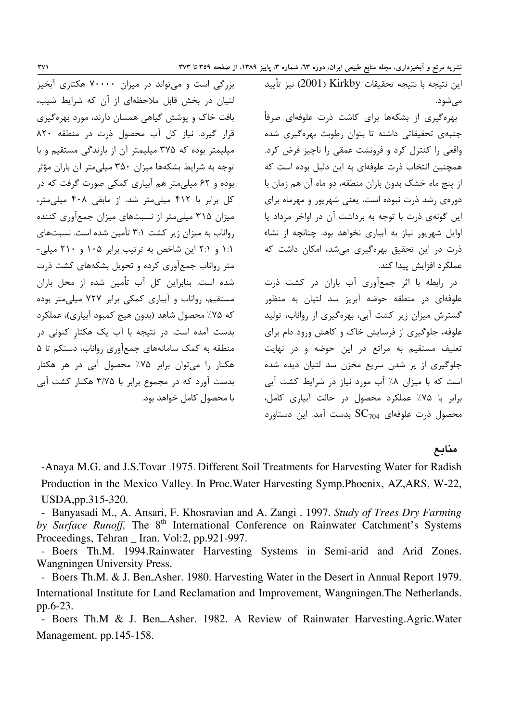مے شود.

بهره گیری از بشکهها برای کاشت ذرت علوفهای صرفاً جنبهی تحقیقاتی داشته تا بتوان رطوبت بهرهگیری شده واقعی را کنترل کرد و فرونشت عمقی را ناچیز فرض کرد. همچنین انتخاب ذرت علوفهای به این دلیل بوده است که از پنج ماه خشک بدون باران منطقه، دو ماه آن هم زمان با دورهی رشد ذرت نبوده است، یعنی شهریور و مهرماه برای این گونهی ذرت با توجه به برداشت آن در اواخر مرداد یا اوایل شهریور نیاز به آبیاری نخواهد بود. چنانچه از نشاء ذرت در این تحقیق بهرهگیری می شد، امکان داشت که عملکرد افزایش پیدا کند.

در رابطه با اثر جمعآوری آب باران در کشت ذرت علوفهای در منطقه حوضه آبریز سد لتیان به منظور گسترش میزان زیر کشت آبی، بهرهگیری از رواناب، تولید علوفه، جلوگیری از فرسایش خاک و کاهش ورود دام برای تعلیف مستقیم به مراتع در این حوضه و در نهایت جلوگیری از پر شدن سریع مخزن سد لتیان دیده شده است که با میزان ۸٪ آب مورد نیاز در شرایط کشت آبی برابر با ۷۵٪ عملکرد محصول در حالت آبیاری کامل، محصول ذرت علوفهای  $\rm{SC_{704}}$  بدست آمد. این دستاورد

# منابع

-Anaya M.G. and J.S.Tovar .1975. Different Soil Treatments for Harvesting Water for Radish Production in the Mexico Valley. In Proc. Water Harvesting Symp. Phoenix, AZ, ARS, W-22, USDA, pp. 315-320.

- Banyasadi M., A. Ansari, F. Khosravian and A. Zangi . 1997. Study of Trees Dry Farming by Surface Runoff, The 8<sup>th</sup> International Conference on Rainwater Catchment's Systems Proceedings, Tehran \_ Iran. Vol:2, pp.921-997.

- Boers Th.M. 1994. Rainwater Harvesting Systems in Semi-arid and Arid Zones. Wangningen University Press.

- Boers Th.M. & J. Ben\_Asher. 1980. Harvesting Water in the Desert in Annual Report 1979. International Institute for Land Reclamation and Improvement, Wangningen. The Netherlands. pp.6-23.

- Boers Th.M & J. Ben\_Asher. 1982. A Review of Rainwater Harvesting.Agric.Water Management. pp.145-158.

لتيان در بخش قابل ملاحظهای از آن كه شرايط شيب، بافت خاک و پوشش گیاهی همسان دارند، مورد بهرهگیری قرار گیرد. نیاز کل آب محصول ذرت در منطقه ۸۲۰ میلیمتر بوده که ۳۷۵ میلیمتر آن از بارندگی مستقیم و با توجه به شرایط بشکهها میزان ۳۵۰ میلیمتر آن باران مؤثر بوده و ۶۲ میلی متر هم آبیاری کمکی صورت گرفت که در کل برابر با ۴۱۲ میلی متر شد. از مابقی ۴۰۸ میلی متر، میزان ۳۱۵ میلی متر از نسبتهای میزان جمعآوری کننده رواناب به میزان زیر کشت ۳:۱ تأمین شده است. نسبتهای ۱:۱ و ۲:۱ این شاخص به ترتیب برابر ۱۰۵ و ۲۱۰ میلی-متر رواناب جمعآوری کرده و تحویل بشکههای کشت ذرت شده است. بنابراین کل آب تأمین شده از محل باران مستقیم، رواناب و آبیاری کمکی برابر ۷۲۷ میلی متر بوده که ۷۵٪ محصول شاهد (بدون هیچ کمبود آبیاری)، عملکرد بدست آمده است. در نتیجه با آب یک هکتار کنونی در منطقه به کمک سامانههای جمع آوری رواناب، دستکم تا ۵ هکتار را میتوان برابر ۷۵٪ محصول آبی در هر هکتار بدست آورد که در مجموع برابر با ۳/۷۵ هکتار کشت آبی يا محصول كامل خواهد بود.

بزرگی است و می تواند در میزان ۷۰۰۰۰ هکتاری آبخیز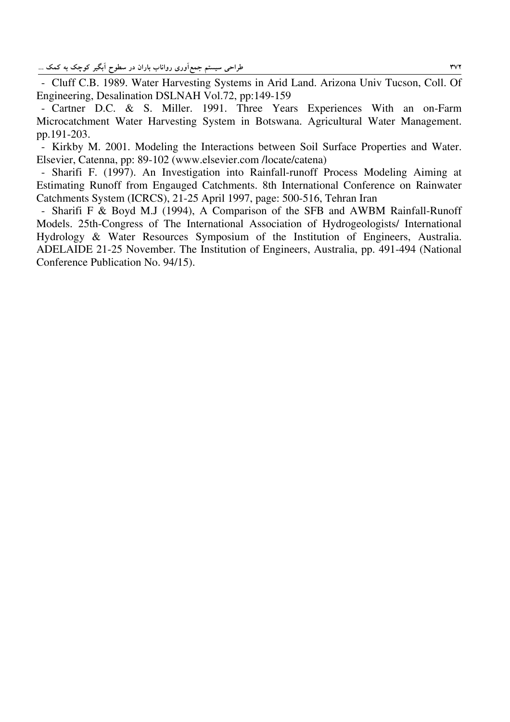- Cluff C.B. 1989. Water Harvesting Systems in Arid Land. Arizona Univ Tucson, Coll. Of Engineering, Desalination DSLNAH Vol.72, pp:149-159

- Cartner D.C. & S. Miller. 1991. Three Years Experiences With an on-Farm Microcatchment Water Harvesting System in Botswana. Agricultural Water Management. pp.191-203.

- Kirkby M. 2001. Modeling the Interactions between Soil Surface Properties and Water. Elsevier, Catenna, pp: 89-102 (www.elsevier.com /locate/catena)

- Sharifi F. (1997). An Investigation into Rainfall-runoff Process Modeling Aiming at Estimating Runoff from Engauged Catchments. 8th International Conference on Rainwater Catchments System (ICRCS), 21-25 April 1997, page: 500-516, Tehran Iran

- Sharifi F & Boyd M.J (1994), A Comparison of the SFB and AWBM Rainfall-Runoff Models. 25th-Congress of The International Association of Hydrogeologists/ International Hydrology & Water Resources Symposium of the Institution of Engineers, Australia. ADELAIDE 21-25 November. The Institution of Engineers, Australia, pp. 491-494 (National Conference Publication No. 94/15).